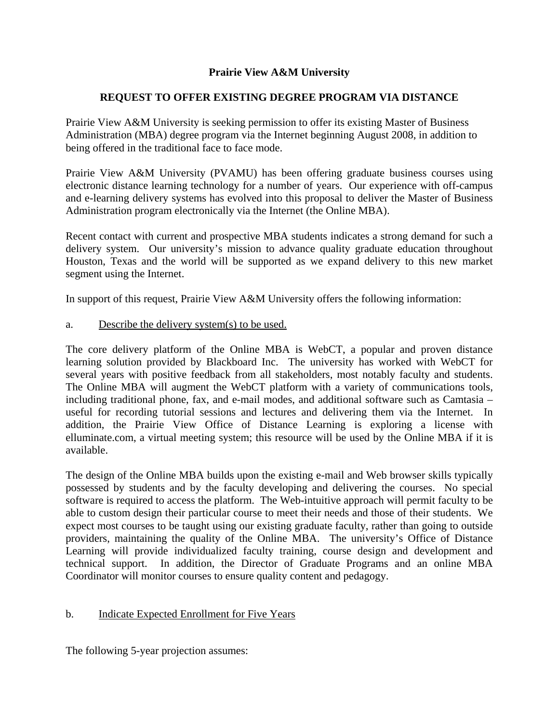# **Prairie View A&M University**

## **REQUEST TO OFFER EXISTING DEGREE PROGRAM VIA DISTANCE**

Prairie View A&M University is seeking permission to offer its existing Master of Business Administration (MBA) degree program via the Internet beginning August 2008, in addition to being offered in the traditional face to face mode.

Prairie View A&M University (PVAMU) has been offering graduate business courses using electronic distance learning technology for a number of years. Our experience with off-campus and e-learning delivery systems has evolved into this proposal to deliver the Master of Business Administration program electronically via the Internet (the Online MBA).

Recent contact with current and prospective MBA students indicates a strong demand for such a delivery system. Our university's mission to advance quality graduate education throughout Houston, Texas and the world will be supported as we expand delivery to this new market segment using the Internet.

In support of this request, Prairie View A&M University offers the following information:

a. Describe the delivery system(s) to be used.

The core delivery platform of the Online MBA is WebCT, a popular and proven distance learning solution provided by Blackboard Inc. The university has worked with WebCT for several years with positive feedback from all stakeholders, most notably faculty and students. The Online MBA will augment the WebCT platform with a variety of communications tools, including traditional phone, fax, and e-mail modes, and additional software such as Camtasia – useful for recording tutorial sessions and lectures and delivering them via the Internet. In addition, the Prairie View Office of Distance Learning is exploring a license with elluminate.com, a virtual meeting system; this resource will be used by the Online MBA if it is available.

The design of the Online MBA builds upon the existing e-mail and Web browser skills typically possessed by students and by the faculty developing and delivering the courses. No special software is required to access the platform. The Web-intuitive approach will permit faculty to be able to custom design their particular course to meet their needs and those of their students. We expect most courses to be taught using our existing graduate faculty, rather than going to outside providers, maintaining the quality of the Online MBA. The university's Office of Distance Learning will provide individualized faculty training, course design and development and technical support. In addition, the Director of Graduate Programs and an online MBA Coordinator will monitor courses to ensure quality content and pedagogy.

### b. Indicate Expected Enrollment for Five Years

The following 5-year projection assumes: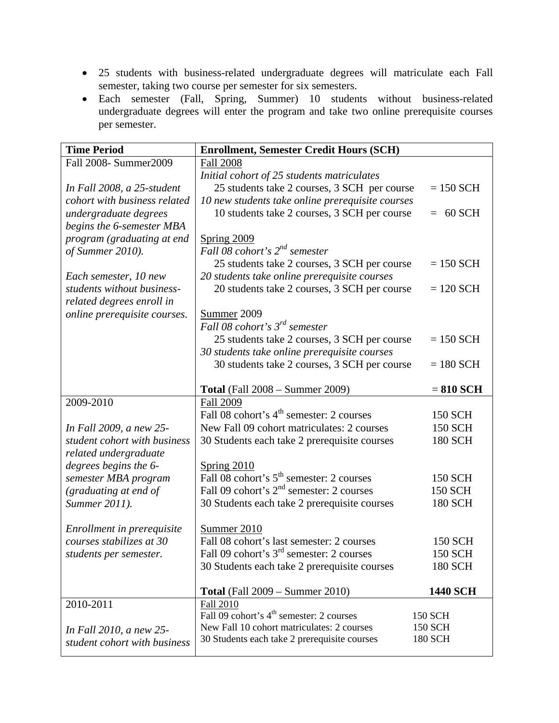- 25 students with business-related undergraduate degrees will matriculate each Fall semester, taking two course per semester for six semesters.
- Each semester (Fall, Spring, Summer) 10 students without business-related undergraduate degrees will enter the program and take two online prerequisite courses per semester.

| <b>Time Period</b>           | <b>Enrollment, Semester Credit Hours (SCH)</b>                                                               |                 |  |
|------------------------------|--------------------------------------------------------------------------------------------------------------|-----------------|--|
| Fall 2008- Summer2009        | <b>Fall 2008</b>                                                                                             |                 |  |
|                              | Initial cohort of 25 students matriculates                                                                   |                 |  |
| In Fall 2008, a 25-student   | 25 students take 2 courses, 3 SCH per course                                                                 | $= 150$ SCH     |  |
| cohort with business related | 10 new students take online prerequisite courses                                                             |                 |  |
| undergraduate degrees        | 10 students take 2 courses, 3 SCH per course                                                                 | 60 SCH<br>$=$   |  |
| begins the 6-semester MBA    |                                                                                                              |                 |  |
| program (graduating at end   | <b>Spring 2009</b>                                                                                           |                 |  |
| of Summer 2010).             | Fall 08 cohort's $2^{nd}$ semester                                                                           |                 |  |
|                              | 25 students take 2 courses, 3 SCH per course                                                                 | $= 150$ SCH     |  |
| Each semester, 10 new        | 20 students take online prerequisite courses                                                                 |                 |  |
| students without business-   | 20 students take 2 courses, 3 SCH per course                                                                 | $= 120$ SCH     |  |
| related degrees enroll in    |                                                                                                              |                 |  |
| online prerequisite courses. | Summer <sub>2009</sub>                                                                                       |                 |  |
|                              | Fall 08 cohort's $3^{rd}$ semester                                                                           |                 |  |
|                              | 25 students take 2 courses, 3 SCH per course                                                                 | $= 150$ SCH     |  |
|                              | 30 students take online prerequisite courses                                                                 |                 |  |
|                              | 30 students take 2 courses, 3 SCH per course                                                                 | $= 180$ SCH     |  |
|                              |                                                                                                              |                 |  |
|                              | <b>Total</b> (Fall 2008 – Summer 2009)                                                                       | $= 810$ SCH     |  |
| 2009-2010                    | <b>Fall 2009</b>                                                                                             |                 |  |
|                              | Fall 08 cohort's 4 <sup>th</sup> semester: 2 courses                                                         | <b>150 SCH</b>  |  |
| In Fall 2009, a new 25-      | New Fall 09 cohort matriculates: 2 courses                                                                   | <b>150 SCH</b>  |  |
| student cohort with business | 30 Students each take 2 prerequisite courses                                                                 | <b>180 SCH</b>  |  |
| related undergraduate        |                                                                                                              |                 |  |
| degrees begins the 6-        | <b>Spring 2010</b>                                                                                           |                 |  |
| semester MBA program         | Fall 08 cohort's 5 <sup>th</sup> semester: 2 courses<br>Fall 09 cohort's 2 <sup>nd</sup> semester: 2 courses | <b>150 SCH</b>  |  |
| (graduating at end of        |                                                                                                              | <b>150 SCH</b>  |  |
| Summer 2011).                | 30 Students each take 2 prerequisite courses                                                                 | <b>180 SCH</b>  |  |
|                              |                                                                                                              |                 |  |
| Enrollment in prerequisite   | Summer 2010                                                                                                  |                 |  |
| courses stabilizes at 30     | Fall 08 cohort's last semester: 2 courses<br>Fall 09 cohort's 3 <sup>rd</sup> semester: 2 courses            | <b>150 SCH</b>  |  |
| students per semester.       |                                                                                                              | 150 SCH         |  |
|                              | 30 Students each take 2 prerequisite courses                                                                 | 180 SCH         |  |
|                              | <b>Total</b> (Fall 2009 – Summer 2010)                                                                       | <b>1440 SCH</b> |  |
| 2010-2011                    | Fall 2010                                                                                                    |                 |  |
|                              | Fall 09 cohort's 4 <sup>th</sup> semester: 2 courses                                                         | 150 SCH         |  |
| In Fall 2010, a new 25-      | New Fall 10 cohort matriculates: 2 courses                                                                   | <b>150 SCH</b>  |  |
| student cohort with business | 30 Students each take 2 prerequisite courses                                                                 | 180 SCH         |  |
|                              |                                                                                                              |                 |  |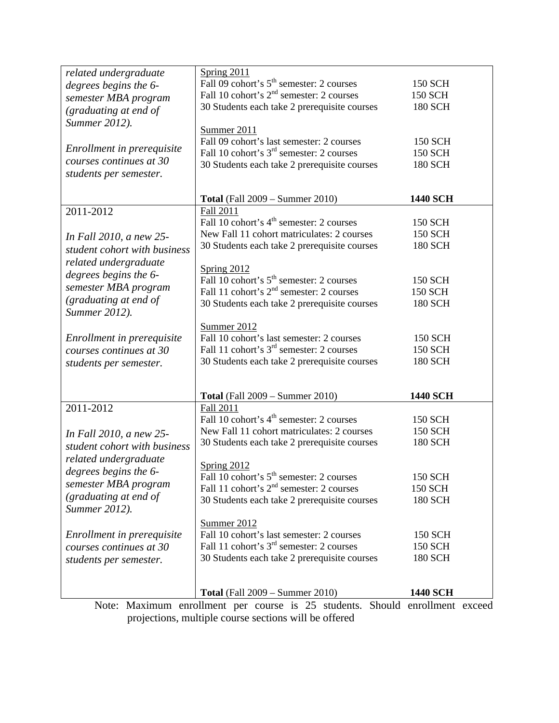| related undergraduate                                                        | Spring 2011                                                                |                 |  |  |
|------------------------------------------------------------------------------|----------------------------------------------------------------------------|-----------------|--|--|
| degrees begins the 6-                                                        | Fall 09 cohort's 5 <sup>th</sup> semester: 2 courses                       | 150 SCH         |  |  |
|                                                                              | Fall 10 cohort's 2 <sup>nd</sup> semester: 2 courses                       | 150 SCH         |  |  |
| semester MBA program                                                         | 30 Students each take 2 prerequisite courses                               | 180 SCH         |  |  |
| (graduating at end of                                                        |                                                                            |                 |  |  |
| Summer 2012).                                                                | Summer 2011                                                                |                 |  |  |
|                                                                              | Fall 09 cohort's last semester: 2 courses                                  | <b>150 SCH</b>  |  |  |
| Enrollment in prerequisite                                                   | Fall 10 cohort's 3 <sup>rd</sup> semester: 2 courses                       |                 |  |  |
| courses continues at 30                                                      |                                                                            | 150 SCH         |  |  |
| students per semester.                                                       | 30 Students each take 2 prerequisite courses                               | <b>180 SCH</b>  |  |  |
|                                                                              |                                                                            |                 |  |  |
|                                                                              |                                                                            |                 |  |  |
|                                                                              | <b>Total</b> (Fall 2009 – Summer 2010)                                     | <b>1440 SCH</b> |  |  |
| 2011-2012                                                                    | Fall 2011                                                                  |                 |  |  |
|                                                                              | Fall 10 cohort's 4 <sup>th</sup> semester: 2 courses                       | <b>150 SCH</b>  |  |  |
| In Fall 2010, a new 25-                                                      | New Fall 11 cohort matriculates: 2 courses                                 | <b>150 SCH</b>  |  |  |
| student cohort with business                                                 | 30 Students each take 2 prerequisite courses                               | 180 SCH         |  |  |
| related undergraduate                                                        |                                                                            |                 |  |  |
|                                                                              | Spring 2012                                                                |                 |  |  |
| degrees begins the 6-                                                        | Fall 10 cohort's 5 <sup>th</sup> semester: 2 courses                       | <b>150 SCH</b>  |  |  |
| semester MBA program                                                         | Fall 11 cohort's 2 <sup>nd</sup> semester: 2 courses                       | 150 SCH         |  |  |
| (graduating at end of                                                        | 30 Students each take 2 prerequisite courses                               | <b>180 SCH</b>  |  |  |
| Summer 2012).                                                                |                                                                            |                 |  |  |
|                                                                              | Summer 2012                                                                |                 |  |  |
| Enrollment in prerequisite                                                   | Fall 10 cohort's last semester: 2 courses                                  | 150 SCH         |  |  |
| courses continues at 30                                                      | Fall 11 cohort's 3 <sup>rd</sup> semester: 2 courses                       | 150 SCH         |  |  |
| students per semester.                                                       | 30 Students each take 2 prerequisite courses                               | 180 SCH         |  |  |
|                                                                              |                                                                            |                 |  |  |
|                                                                              |                                                                            |                 |  |  |
|                                                                              | <b>Total</b> (Fall 2009 – Summer 2010)                                     | 1440 SCH        |  |  |
| 2011-2012                                                                    | Fall 2011                                                                  |                 |  |  |
|                                                                              | Fall 10 cohort's 4 <sup>th</sup> semester: 2 courses                       | 150 SCH         |  |  |
|                                                                              | New Fall 11 cohort matriculates: 2 courses                                 | 150 SCH         |  |  |
| In Fall 2010, a new 25-                                                      | 30 Students each take 2 prerequisite courses                               | 180 SCH         |  |  |
| student cohort with business                                                 |                                                                            |                 |  |  |
| related undergraduate                                                        |                                                                            |                 |  |  |
| degrees begins the 6-                                                        | <b>Spring 2012</b><br>Fall 10 cohort's 5 <sup>th</sup> semester: 2 courses |                 |  |  |
| semester MBA program                                                         | Fall 11 cohort's 2 <sup>nd</sup> semester: 2 courses                       | 150 SCH         |  |  |
| (graduating at end of                                                        |                                                                            | <b>150 SCH</b>  |  |  |
| Summer 2012).                                                                | 30 Students each take 2 prerequisite courses                               | 180 SCH         |  |  |
|                                                                              |                                                                            |                 |  |  |
|                                                                              | Summer 2012                                                                |                 |  |  |
| Enrollment in prerequisite                                                   | Fall 10 cohort's last semester: 2 courses                                  | <b>150 SCH</b>  |  |  |
| courses continues at 30                                                      | Fall 11 cohort's 3 <sup>rd</sup> semester: 2 courses                       | 150 SCH         |  |  |
| students per semester.                                                       | 30 Students each take 2 prerequisite courses                               | <b>180 SCH</b>  |  |  |
|                                                                              |                                                                            |                 |  |  |
|                                                                              |                                                                            |                 |  |  |
|                                                                              | <b>Total</b> (Fall 2009 – Summer 2010)                                     | <b>1440 SCH</b> |  |  |
| Note: Maximum enrollment per course is 25 students. Should enrollment exceed |                                                                            |                 |  |  |

projections, multiple course sections will be offered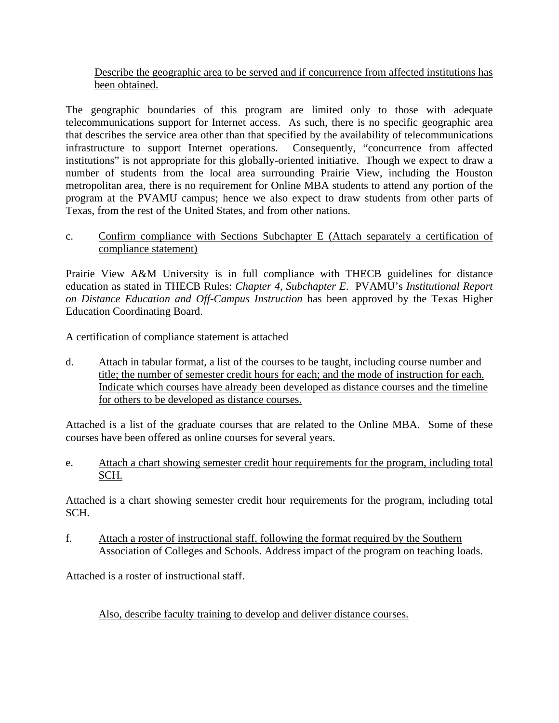### Describe the geographic area to be served and if concurrence from affected institutions has been obtained.

The geographic boundaries of this program are limited only to those with adequate telecommunications support for Internet access. As such, there is no specific geographic area that describes the service area other than that specified by the availability of telecommunications infrastructure to support Internet operations. Consequently, "concurrence from affected institutions" is not appropriate for this globally-oriented initiative. Though we expect to draw a number of students from the local area surrounding Prairie View, including the Houston metropolitan area, there is no requirement for Online MBA students to attend any portion of the program at the PVAMU campus; hence we also expect to draw students from other parts of Texas, from the rest of the United States, and from other nations.

### c. Confirm compliance with Sections Subchapter E (Attach separately a certification of compliance statement)

Prairie View A&M University is in full compliance with THECB guidelines for distance education as stated in THECB Rules: *Chapter 4, Subchapter E*. PVAMU's *Institutional Report on Distance Education and Off-Campus Instruction* has been approved by the Texas Higher Education Coordinating Board.

A certification of compliance statement is attached

d. Attach in tabular format, a list of the courses to be taught, including course number and title; the number of semester credit hours for each; and the mode of instruction for each. Indicate which courses have already been developed as distance courses and the timeline for others to be developed as distance courses.

Attached is a list of the graduate courses that are related to the Online MBA. Some of these courses have been offered as online courses for several years.

e. Attach a chart showing semester credit hour requirements for the program, including total SCH.

Attached is a chart showing semester credit hour requirements for the program, including total SCH.

f. Attach a roster of instructional staff, following the format required by the Southern Association of Colleges and Schools. Address impact of the program on teaching loads.

Attached is a roster of instructional staff.

Also, describe faculty training to develop and deliver distance courses.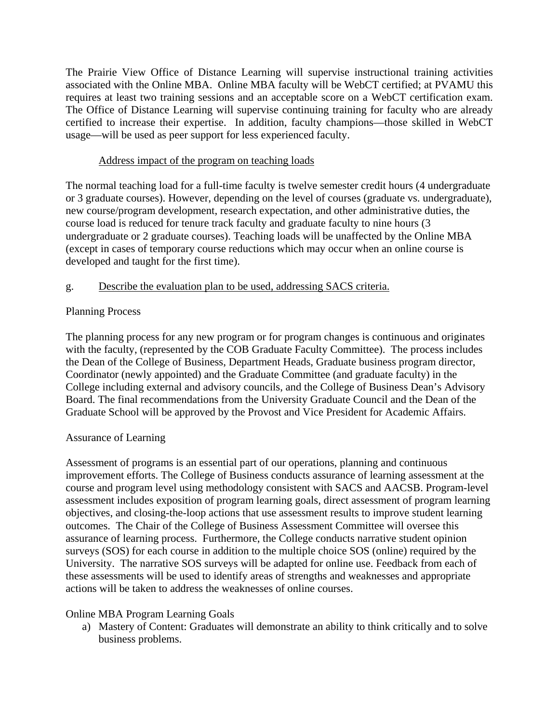The Prairie View Office of Distance Learning will supervise instructional training activities associated with the Online MBA. Online MBA faculty will be WebCT certified; at PVAMU this requires at least two training sessions and an acceptable score on a WebCT certification exam. The Office of Distance Learning will supervise continuing training for faculty who are already certified to increase their expertise. In addition, faculty champions—those skilled in WebCT usage—will be used as peer support for less experienced faculty.

### Address impact of the program on teaching loads

The normal teaching load for a full-time faculty is twelve semester credit hours (4 undergraduate or 3 graduate courses). However, depending on the level of courses (graduate vs. undergraduate), new course/program development, research expectation, and other administrative duties, the course load is reduced for tenure track faculty and graduate faculty to nine hours (3 undergraduate or 2 graduate courses). Teaching loads will be unaffected by the Online MBA (except in cases of temporary course reductions which may occur when an online course is developed and taught for the first time).

# g. Describe the evaluation plan to be used, addressing SACS criteria.

# Planning Process

The planning process for any new program or for program changes is continuous and originates with the faculty, (represented by the COB Graduate Faculty Committee). The process includes the Dean of the College of Business, Department Heads, Graduate business program director, Coordinator (newly appointed) and the Graduate Committee (and graduate faculty) in the College including external and advisory councils, and the College of Business Dean's Advisory Board. The final recommendations from the University Graduate Council and the Dean of the Graduate School will be approved by the Provost and Vice President for Academic Affairs.

# Assurance of Learning

Assessment of programs is an essential part of our operations, planning and continuous improvement efforts. The College of Business conducts assurance of learning assessment at the course and program level using methodology consistent with SACS and AACSB. Program-level assessment includes exposition of program learning goals, direct assessment of program learning objectives, and closing-the-loop actions that use assessment results to improve student learning outcomes. The Chair of the College of Business Assessment Committee will oversee this assurance of learning process. Furthermore, the College conducts narrative student opinion surveys (SOS) for each course in addition to the multiple choice SOS (online) required by the University. The narrative SOS surveys will be adapted for online use. Feedback from each of these assessments will be used to identify areas of strengths and weaknesses and appropriate actions will be taken to address the weaknesses of online courses.

### Online MBA Program Learning Goals

a) Mastery of Content: Graduates will demonstrate an ability to think critically and to solve business problems.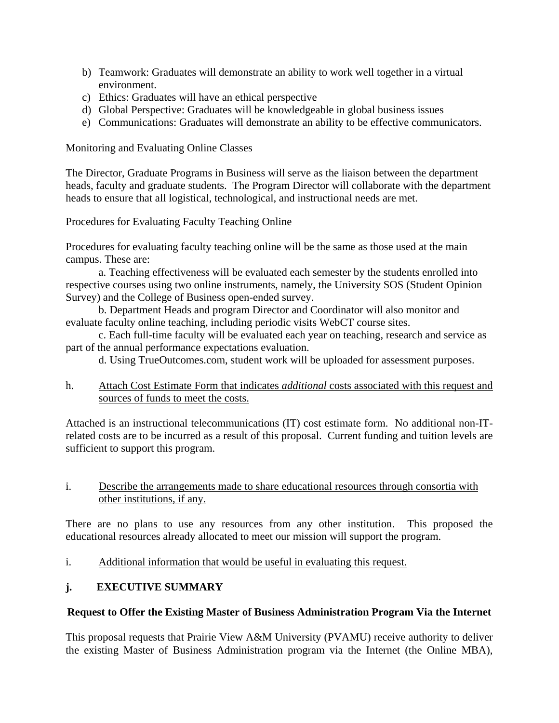- b) Teamwork: Graduates will demonstrate an ability to work well together in a virtual environment.
- c) Ethics: Graduates will have an ethical perspective
- d) Global Perspective: Graduates will be knowledgeable in global business issues
- e) Communications: Graduates will demonstrate an ability to be effective communicators.

Monitoring and Evaluating Online Classes

The Director, Graduate Programs in Business will serve as the liaison between the department heads, faculty and graduate students. The Program Director will collaborate with the department heads to ensure that all logistical, technological, and instructional needs are met.

Procedures for Evaluating Faculty Teaching Online

Procedures for evaluating faculty teaching online will be the same as those used at the main campus. These are:

a. Teaching effectiveness will be evaluated each semester by the students enrolled into respective courses using two online instruments, namely, the University SOS (Student Opinion Survey) and the College of Business open-ended survey.

b. Department Heads and program Director and Coordinator will also monitor and evaluate faculty online teaching, including periodic visits WebCT course sites.

c. Each full-time faculty will be evaluated each year on teaching, research and service as part of the annual performance expectations evaluation.

d. Using TrueOutcomes.com, student work will be uploaded for assessment purposes.

h. Attach Cost Estimate Form that indicates *additional* costs associated with this request and sources of funds to meet the costs.

Attached is an instructional telecommunications (IT) cost estimate form. No additional non-ITrelated costs are to be incurred as a result of this proposal. Current funding and tuition levels are sufficient to support this program.

### i. Describe the arrangements made to share educational resources through consortia with other institutions, if any.

There are no plans to use any resources from any other institution. This proposed the educational resources already allocated to meet our mission will support the program.

i. Additional information that would be useful in evaluating this request.

# **j. EXECUTIVE SUMMARY**

### **Request to Offer the Existing Master of Business Administration Program Via the Internet**

This proposal requests that Prairie View A&M University (PVAMU) receive authority to deliver the existing Master of Business Administration program via the Internet (the Online MBA),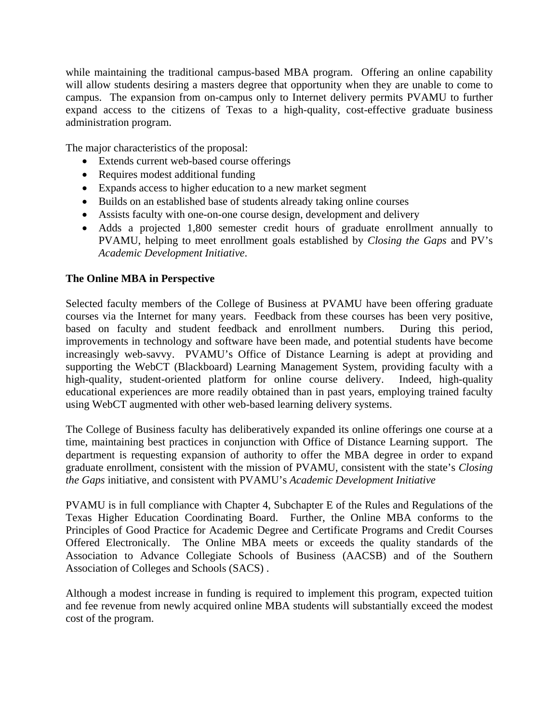while maintaining the traditional campus-based MBA program. Offering an online capability will allow students desiring a masters degree that opportunity when they are unable to come to campus. The expansion from on-campus only to Internet delivery permits PVAMU to further expand access to the citizens of Texas to a high-quality, cost-effective graduate business administration program.

The major characteristics of the proposal:

- Extends current web-based course offerings
- Requires modest additional funding
- Expands access to higher education to a new market segment
- Builds on an established base of students already taking online courses
- Assists faculty with one-on-one course design, development and delivery
- Adds a projected 1,800 semester credit hours of graduate enrollment annually to PVAMU, helping to meet enrollment goals established by *Closing the Gaps* and PV's *Academic Development Initiative*.

#### **The Online MBA in Perspective**

Selected faculty members of the College of Business at PVAMU have been offering graduate courses via the Internet for many years. Feedback from these courses has been very positive, based on faculty and student feedback and enrollment numbers. During this period, improvements in technology and software have been made, and potential students have become increasingly web-savvy. PVAMU's Office of Distance Learning is adept at providing and supporting the WebCT (Blackboard) Learning Management System, providing faculty with a high-quality, student-oriented platform for online course delivery. Indeed, high-quality educational experiences are more readily obtained than in past years, employing trained faculty using WebCT augmented with other web-based learning delivery systems.

The College of Business faculty has deliberatively expanded its online offerings one course at a time, maintaining best practices in conjunction with Office of Distance Learning support. The department is requesting expansion of authority to offer the MBA degree in order to expand graduate enrollment, consistent with the mission of PVAMU, consistent with the state's *Closing the Gaps* initiative, and consistent with PVAMU's *Academic Development Initiative*

PVAMU is in full compliance with Chapter 4, Subchapter E of the Rules and Regulations of the Texas Higher Education Coordinating Board. Further, the Online MBA conforms to the Principles of Good Practice for Academic Degree and Certificate Programs and Credit Courses Offered Electronically. The Online MBA meets or exceeds the quality standards of the Association to Advance Collegiate Schools of Business (AACSB) and of the Southern Association of Colleges and Schools (SACS) .

Although a modest increase in funding is required to implement this program, expected tuition and fee revenue from newly acquired online MBA students will substantially exceed the modest cost of the program.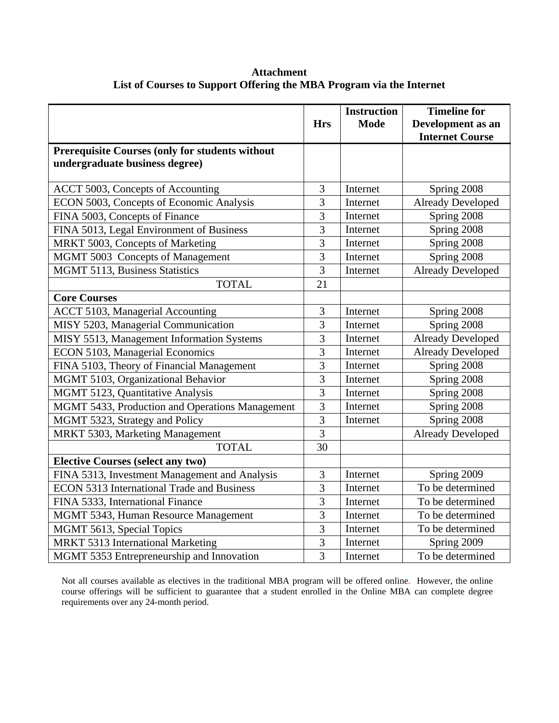**Attachment List of Courses to Support Offering the MBA Program via the Internet** 

|                                                                                          | <b>Hrs</b>     | <b>Instruction</b><br><b>Mode</b> | <b>Timeline for</b><br>Development as an |
|------------------------------------------------------------------------------------------|----------------|-----------------------------------|------------------------------------------|
| <b>Prerequisite Courses (only for students without</b><br>undergraduate business degree) |                |                                   | <b>Internet Course</b>                   |
| ACCT 5003, Concepts of Accounting                                                        | 3              | Internet                          | Spring 2008                              |
| ECON 5003, Concepts of Economic Analysis                                                 | 3              | Internet                          | <b>Already Developed</b>                 |
| FINA 5003, Concepts of Finance                                                           | 3              | Internet                          | Spring 2008                              |
| FINA 5013, Legal Environment of Business                                                 | 3              | Internet                          | Spring 2008                              |
| MRKT 5003, Concepts of Marketing                                                         | 3              | Internet                          | Spring 2008                              |
| MGMT 5003 Concepts of Management                                                         | $\overline{3}$ | Internet                          | Spring 2008                              |
| MGMT 5113, Business Statistics                                                           | $\overline{3}$ | Internet                          | <b>Already Developed</b>                 |
| <b>TOTAL</b>                                                                             | 21             |                                   |                                          |
| <b>Core Courses</b>                                                                      |                |                                   |                                          |
| ACCT 5103, Managerial Accounting                                                         | $\mathfrak{Z}$ | Internet                          | Spring 2008                              |
| MISY 5203, Managerial Communication                                                      | $\overline{3}$ | Internet                          | Spring 2008                              |
| MISY 5513, Management Information Systems                                                | 3              | Internet                          | <b>Already Developed</b>                 |
| ECON 5103, Managerial Economics                                                          | 3              | Internet                          | <b>Already Developed</b>                 |
| FINA 5103, Theory of Financial Management                                                | $\overline{3}$ | Internet                          | Spring 2008                              |
| MGMT 5103, Organizational Behavior                                                       | 3              | Internet                          | Spring 2008                              |
| MGMT 5123, Quantitative Analysis                                                         | 3              | Internet                          | Spring 2008                              |
| MGMT 5433, Production and Operations Management                                          | $\overline{3}$ | Internet                          | Spring 2008                              |
| MGMT 5323, Strategy and Policy                                                           | 3              | Internet                          | Spring 2008                              |
| MRKT 5303, Marketing Management                                                          | $\overline{3}$ |                                   | <b>Already Developed</b>                 |
| <b>TOTAL</b>                                                                             | 30             |                                   |                                          |
| <b>Elective Courses (select any two)</b>                                                 |                |                                   |                                          |
| FINA 5313, Investment Management and Analysis                                            | 3              | Internet                          | Spring 2009                              |
| <b>ECON 5313 International Trade and Business</b>                                        | 3              | Internet                          | To be determined                         |
| FINA 5333, International Finance                                                         | $\overline{3}$ | Internet                          | To be determined                         |
| MGMT 5343, Human Resource Management                                                     | 3              | Internet                          | To be determined                         |
| MGMT 5613, Special Topics                                                                | $\overline{3}$ | Internet                          | To be determined                         |
| MRKT 5313 International Marketing                                                        | $\overline{3}$ | Internet                          | Spring 2009                              |
| MGMT 5353 Entrepreneurship and Innovation                                                | 3              | Internet                          | To be determined                         |

Not all courses available as electives in the traditional MBA program will be offered online. However, the online course offerings will be sufficient to guarantee that a student enrolled in the Online MBA can complete degree requirements over any 24-month period.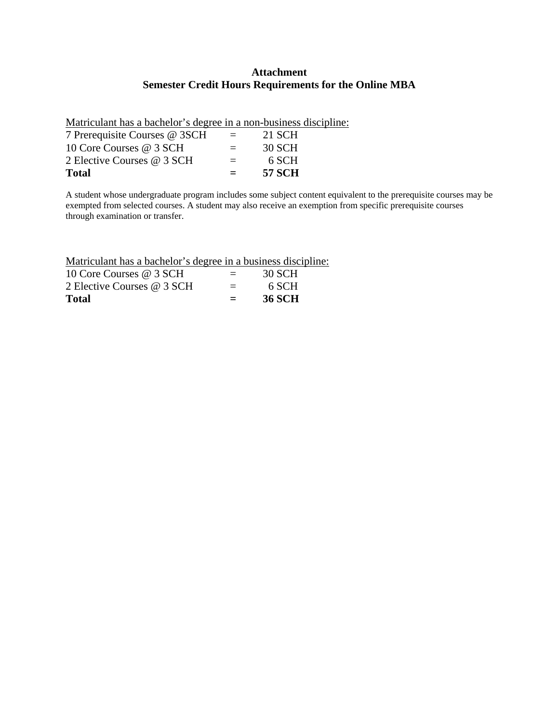#### **Attachment Semester Credit Hours Requirements for the Online MBA**

Matriculant has a bachelor's degree in a non-business discipline:

| 2 Elective Courses @ 3 SCH<br><b>Total</b> | $=$<br>$\equiv$ | 6 SCH<br><b>57 SCH</b> |
|--------------------------------------------|-----------------|------------------------|
| 10 Core Courses @ 3 SCH                    | $=$             | 30 SCH                 |
| 7 Prerequisite Courses @ 3SCH              | $=$             | 21 SCH                 |

A student whose undergraduate program includes some subject content equivalent to the prerequisite courses may be exempted from selected courses. A student may also receive an exemption from specific prerequisite courses through examination or transfer.

Matriculant has a bachelor's degree in a business discipline:

| 10 Core Courses @ 3 SCH    | $=$ | 30 SCH |
|----------------------------|-----|--------|
| 2 Elective Courses @ 3 SCH | $=$ | 6 SCH  |
| Total                      | $=$ | 36 SCH |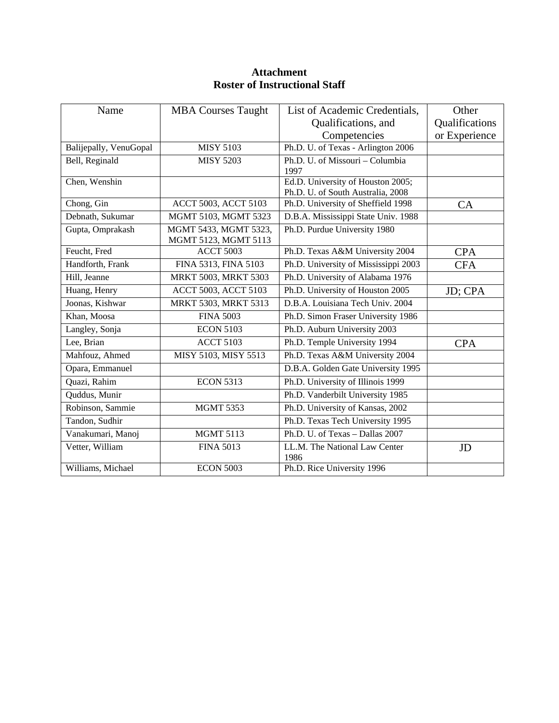| Name                   | <b>MBA Courses Taught</b>                     | List of Academic Credentials,                                          | Other          |
|------------------------|-----------------------------------------------|------------------------------------------------------------------------|----------------|
|                        |                                               | Qualifications, and                                                    | Qualifications |
|                        |                                               | Competencies                                                           | or Experience  |
| Balijepally, VenuGopal | <b>MISY 5103</b>                              | Ph.D. U. of Texas - Arlington 2006                                     |                |
| Bell, Reginald         | <b>MISY 5203</b>                              | Ph.D. U. of Missouri – Columbia<br>1997                                |                |
| Chen, Wenshin          |                                               | Ed.D. University of Houston 2005;<br>Ph.D. U. of South Australia, 2008 |                |
| Chong, Gin             | ACCT 5003, ACCT 5103                          | Ph.D. University of Sheffield 1998                                     | CA             |
| Debnath, Sukumar       | MGMT 5103, MGMT 5323                          | D.B.A. Mississippi State Univ. 1988                                    |                |
| Gupta, Omprakash       | MGMT 5433, MGMT 5323,<br>MGMT 5123, MGMT 5113 | Ph.D. Purdue University 1980                                           |                |
| Feucht, Fred           | <b>ACCT 5003</b>                              | Ph.D. Texas A&M University 2004                                        | <b>CPA</b>     |
| Handforth, Frank       | FINA 5313, FINA 5103                          | Ph.D. University of Mississippi 2003                                   | <b>CFA</b>     |
| Hill, Jeanne           | MRKT 5003, MRKT 5303                          | Ph.D. University of Alabama 1976                                       |                |
| Huang, Henry           | ACCT 5003, ACCT 5103                          | Ph.D. University of Houston 2005                                       | JD; CPA        |
| Joonas, Kishwar        | MRKT 5303, MRKT 5313                          | D.B.A. Louisiana Tech Univ. 2004                                       |                |
| Khan, Moosa            | <b>FINA 5003</b>                              | Ph.D. Simon Fraser University 1986                                     |                |
| Langley, Sonja         | <b>ECON 5103</b>                              | Ph.D. Auburn University 2003                                           |                |
| Lee, Brian             | <b>ACCT 5103</b>                              | Ph.D. Temple University 1994                                           | <b>CPA</b>     |
| Mahfouz, Ahmed         | MISY 5103, MISY 5513                          | Ph.D. Texas A&M University 2004                                        |                |
| Opara, Emmanuel        |                                               | D.B.A. Golden Gate University 1995                                     |                |
| Quazi, Rahim           | <b>ECON 5313</b>                              | Ph.D. University of Illinois 1999                                      |                |
| Quddus, Munir          |                                               | Ph.D. Vanderbilt University 1985                                       |                |
| Robinson, Sammie       | <b>MGMT 5353</b>                              | Ph.D. University of Kansas, 2002                                       |                |
| Tandon, Sudhir         |                                               | Ph.D. Texas Tech University 1995                                       |                |
| Vanakumari, Manoj      | <b>MGMT 5113</b>                              | Ph.D. U. of Texas - Dallas 2007                                        |                |
| Vetter, William        | <b>FINA 5013</b>                              | LL.M. The National Law Center<br>1986                                  | JD             |
| Williams, Michael      | <b>ECON 5003</b>                              | Ph.D. Rice University 1996                                             |                |

## **Attachment Roster of Instructional Staff**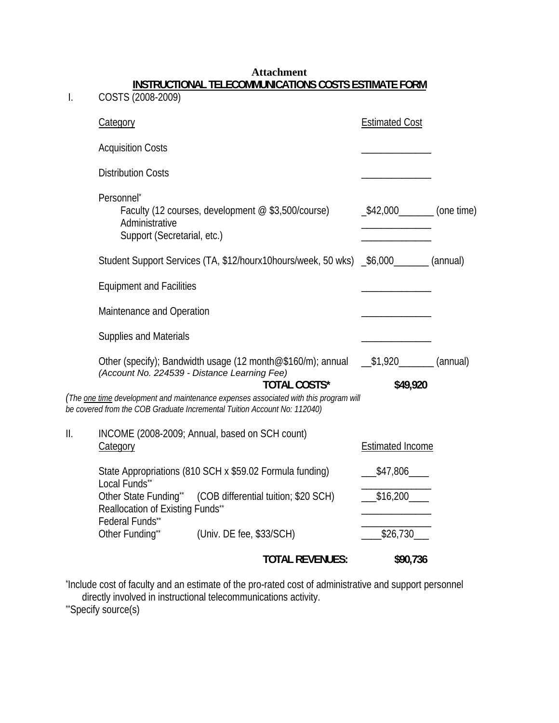|     |                                                                              | <b>TOTAL REVENUES:</b>                                                                                                                                           | \$90,736                |  |  |
|-----|------------------------------------------------------------------------------|------------------------------------------------------------------------------------------------------------------------------------------------------------------|-------------------------|--|--|
|     | Other Funding**                                                              | (Univ. DE fee, \$33/SCH)                                                                                                                                         | \$26,730                |  |  |
|     | Other State Funding**<br>Reallocation of Existing Funds**<br>Federal Funds** | (COB differential tuition; \$20 SCH)                                                                                                                             | \$16,200                |  |  |
|     | Local Funds**                                                                | State Appropriations (810 SCH x \$59.02 Formula funding)                                                                                                         | \$47,806                |  |  |
| II. | Category                                                                     | INCOME (2008-2009; Annual, based on SCH count)                                                                                                                   | <b>Estimated Income</b> |  |  |
|     |                                                                              | (The one time development and maintenance expenses associated with this program will<br>be covered from the COB Graduate Incremental Tuition Account No: 112040) |                         |  |  |
|     |                                                                              | Other (specify); Bandwidth usage (12 month@\$160/m); annual __\$1,920_______ (annual)<br>(Account No. 224539 - Distance Learning Fee)<br><b>TOTAL COSTS*</b>     | \$49,920                |  |  |
|     | <b>Supplies and Materials</b>                                                |                                                                                                                                                                  |                         |  |  |
|     | Maintenance and Operation                                                    |                                                                                                                                                                  |                         |  |  |
|     | <b>Equipment and Facilities</b>                                              |                                                                                                                                                                  |                         |  |  |
|     |                                                                              | Student Support Services (TA, \$12/hourx10hours/week, 50 wks) _\$6,000 ______ (annual)                                                                           |                         |  |  |
|     | Personnel*<br>Administrative<br>Support (Secretarial, etc.)                  | Faculty (12 courses, development @ \$3,500/course)                                                                                                               | $\_42,000$ (one time)   |  |  |
|     | <b>Distribution Costs</b>                                                    |                                                                                                                                                                  |                         |  |  |
|     | <b>Acquisition Costs</b>                                                     |                                                                                                                                                                  |                         |  |  |
|     | <b>Category</b>                                                              |                                                                                                                                                                  | <b>Estimated Cost</b>   |  |  |
| I.  | INSTRUCTIONAL TELECOMMUNICATIONS COSTS ESTIMATE FORM<br>COSTS (2008-2009)    |                                                                                                                                                                  |                         |  |  |

**Attachment** 

\* Include cost of faculty and an estimate of the pro-rated cost of administrative and support personnel directly involved in instructional telecommunications activity.<br>"Specify source(s)